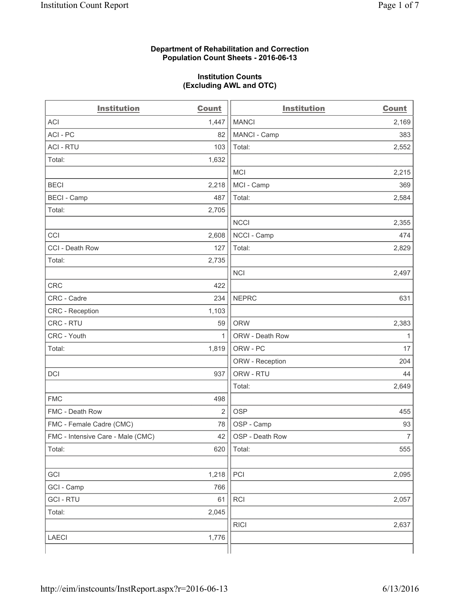#### **Department of Rehabilitation and Correction Population Count Sheets - 2016-06-13**

#### **Institution Counts (Excluding AWL and OTC)**

| <b>Institution</b>                | <b>Count</b>   | <b>Institution</b> | <b>Count</b>   |
|-----------------------------------|----------------|--------------------|----------------|
| <b>ACI</b>                        | 1,447          | <b>MANCI</b>       | 2,169          |
| ACI-PC                            | 82             | MANCI - Camp       | 383            |
| <b>ACI - RTU</b>                  | 103            | Total:             | 2,552          |
| Total:                            | 1,632          |                    |                |
|                                   |                | <b>MCI</b>         | 2,215          |
| <b>BECI</b>                       | 2,218          | MCI - Camp         | 369            |
| <b>BECI</b> - Camp                | 487            | Total:             | 2,584          |
| Total:                            | 2,705          |                    |                |
|                                   |                | <b>NCCI</b>        | 2,355          |
| CCI                               | 2,608          | NCCI - Camp        | 474            |
| CCI - Death Row                   | 127            | Total:             | 2,829          |
| Total:                            | 2,735          |                    |                |
|                                   |                | <b>NCI</b>         | 2,497          |
| <b>CRC</b>                        | 422            |                    |                |
| CRC - Cadre                       | 234            | <b>NEPRC</b>       | 631            |
| CRC - Reception                   | 1,103          |                    |                |
| CRC - RTU                         | 59             | <b>ORW</b>         | 2,383          |
| CRC - Youth                       | 1              | ORW - Death Row    | $\mathbf{1}$   |
| Total:                            | 1,819          | ORW - PC           | 17             |
|                                   |                | ORW - Reception    | 204            |
| DCI                               | 937            | ORW - RTU          | 44             |
|                                   |                | Total:             | 2,649          |
| <b>FMC</b>                        | 498            |                    |                |
| FMC - Death Row                   | $\overline{2}$ | <b>OSP</b>         | 455            |
| FMC - Female Cadre (CMC)          | 78             | OSP - Camp         | 93             |
| FMC - Intensive Care - Male (CMC) | 42             | OSP - Death Row    | $\overline{7}$ |
| Total:                            | 620            | Total:             | 555            |
|                                   |                |                    |                |
| GCI                               | 1,218          | PCI                | 2,095          |
| GCI - Camp                        | 766            |                    |                |
| <b>GCI-RTU</b>                    | 61             | RCI                | 2,057          |
| Total:                            | 2,045          |                    |                |
|                                   |                | <b>RICI</b>        | 2,637          |
| <b>LAECI</b>                      | 1,776          |                    |                |
|                                   |                |                    |                |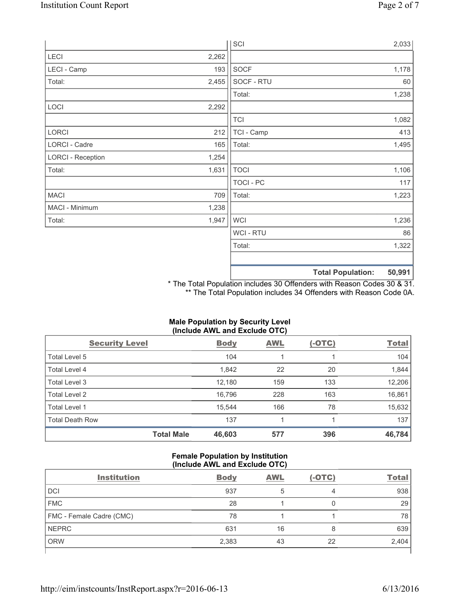|                          |       | SCI            |                          | 2,033  |
|--------------------------|-------|----------------|--------------------------|--------|
| LECI                     | 2,262 |                |                          |        |
| LECI - Camp              | 193   | SOCF           |                          | 1,178  |
| Total:                   | 2,455 | SOCF - RTU     |                          | 60     |
|                          |       | Total:         |                          | 1,238  |
| LOCI                     | 2,292 |                |                          |        |
|                          |       | <b>TCI</b>     |                          | 1,082  |
| LORCI                    | 212   | TCI - Camp     |                          | 413    |
| LORCI - Cadre            | 165   | Total:         |                          | 1,495  |
| <b>LORCI - Reception</b> | 1,254 |                |                          |        |
| Total:                   | 1,631 | <b>TOCI</b>    |                          | 1,106  |
|                          |       | TOCI - PC      |                          | 117    |
| <b>MACI</b>              | 709   | Total:         |                          | 1,223  |
| MACI - Minimum           | 1,238 |                |                          |        |
| Total:                   | 1,947 | <b>WCI</b>     |                          | 1,236  |
|                          |       | <b>WCI-RTU</b> |                          | 86     |
|                          |       | Total:         |                          | 1,322  |
|                          |       |                |                          |        |
|                          |       |                | <b>Total Population:</b> | 50,991 |

\* The Total Population includes 30 Offenders with Reason Codes 30 & 31. \*\* The Total Population includes 34 Offenders with Reason Code 0A.

# **Male Population by Security Level (Include AWL and Exclude OTC)**

| <b>Security Level</b>  |                   | <b>Body</b> | <b>AWL</b> | $(-OTC)$ | <b>Total</b> |
|------------------------|-------------------|-------------|------------|----------|--------------|
| Total Level 5          |                   | 104         | 1          |          | 104          |
| Total Level 4          |                   | 1,842       | 22         | 20       | 1,844        |
| Total Level 3          |                   | 12,180      | 159        | 133      | 12,206       |
| Total Level 2          |                   | 16,796      | 228        | 163      | 16,861       |
| Total Level 1          |                   | 15,544      | 166        | 78       | 15,632       |
| <b>Total Death Row</b> |                   | 137         |            |          | 137          |
|                        | <b>Total Male</b> | 46,603      | 577        | 396      | 46,784       |

## **Female Population by Institution (Include AWL and Exclude OTC)**

| <b>Institution</b>       | <b>Body</b> | <b>AWL</b> | $(-OTC)$ | <b>Total</b> |
|--------------------------|-------------|------------|----------|--------------|
| <b>DCI</b>               | 937         |            | 4        | 938          |
| <b>FMC</b>               | 28          |            |          | 29           |
| FMC - Female Cadre (CMC) | 78          |            |          | 78           |
| <b>NEPRC</b>             | 631         | 16         | 8        | 639          |
| <b>ORW</b>               | 2,383       | 43         | 22       | 2,404        |
|                          |             |            |          |              |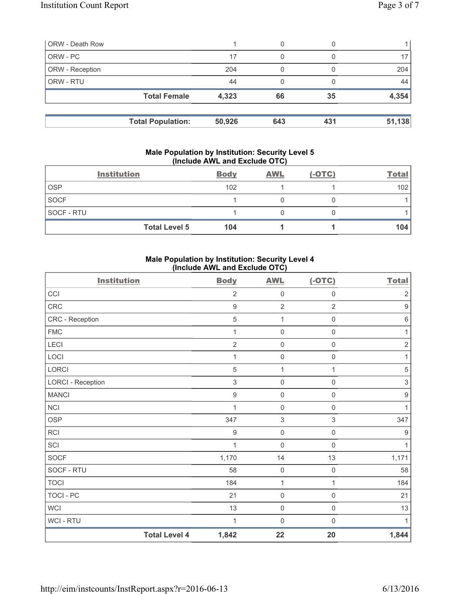| <b>ORW - Death Row</b> |                          |        | 0   |     |        |
|------------------------|--------------------------|--------|-----|-----|--------|
| ORW - PC               |                          | 17     | 0   |     | 17     |
| ORW - Reception        |                          | 204    |     |     | 204    |
| ORW - RTU              |                          | 44     | 0   |     | 44     |
|                        | <b>Total Female</b>      | 4,323  | 66  | 35  | 4,354  |
|                        | <b>Total Population:</b> | 50,926 | 643 | 431 | 51,138 |

#### **Male Population by Institution: Security Level 5 (Include AWL and Exclude OTC)**

|             | <b>Institution</b>   | <b>Body</b> | <b>AWL</b> | $(-OTC)$ | <b>Total</b> |
|-------------|----------------------|-------------|------------|----------|--------------|
| <b>OSP</b>  |                      | 102         |            |          | 102          |
| <b>SOCF</b> |                      |             |            |          |              |
| SOCF - RTU  |                      |             |            |          |              |
|             | <b>Total Level 5</b> | 104         |            |          | 104          |

# **Male Population by Institution: Security Level 4 (Include AWL and Exclude OTC)**

| <b>Institution</b>       |                      | <b>Body</b>      | <b>AWL</b>                | $(-OTC)$            | <b>Total</b>              |
|--------------------------|----------------------|------------------|---------------------------|---------------------|---------------------------|
| CCI                      |                      | $\overline{2}$   | $\mathsf{O}\xspace$       | $\mathsf{O}\xspace$ | $\sqrt{2}$                |
| CRC                      |                      | $\boldsymbol{9}$ | $\overline{2}$            | $\overline{2}$      | $\boldsymbol{9}$          |
| CRC - Reception          |                      | 5                | $\mathbf{1}$              | $\mathsf 0$         | $\,6\,$                   |
| <b>FMC</b>               |                      | 1                | $\mathsf{O}\xspace$       | 0                   | 1                         |
| <b>LECI</b>              |                      | $\overline{2}$   | $\mathsf{O}\xspace$       | $\mathsf{O}\xspace$ | $\sqrt{2}$                |
| LOCI                     |                      | 1                | $\mathbf 0$               | 0                   | 1                         |
| LORCI                    |                      | $\sqrt{5}$       | $\mathbf{1}$              | 1                   | $\sqrt{5}$                |
| <b>LORCI - Reception</b> |                      | 3                | $\mathsf{O}\xspace$       | 0                   | $\ensuremath{\mathsf{3}}$ |
| <b>MANCI</b>             |                      | $\boldsymbol{9}$ | $\mathsf{O}\xspace$       | $\mathsf 0$         | $\boldsymbol{9}$          |
| NCI                      |                      | 1                | $\mathbf 0$               | $\mathsf{O}\xspace$ | 1                         |
| <b>OSP</b>               |                      | 347              | $\ensuremath{\mathsf{3}}$ | $\mathfrak{S}$      | 347                       |
| <b>RCI</b>               |                      | $\boldsymbol{9}$ | $\mathsf{O}\xspace$       | $\mathsf{O}\xspace$ | $\boldsymbol{9}$          |
| SCI                      |                      | 1                | $\mathbf 0$               | $\mathsf 0$         | $\mathbf{1}$              |
| <b>SOCF</b>              |                      | 1,170            | 14                        | 13                  | 1,171                     |
| SOCF - RTU               |                      | 58               | $\mathsf{O}\xspace$       | $\mathsf{O}\xspace$ | 58                        |
| <b>TOCI</b>              |                      | 184              | $\mathbf{1}$              | $\mathbf{1}$        | 184                       |
| <b>TOCI - PC</b>         |                      | 21               | $\mathbf 0$               | $\mathsf{O}\xspace$ | 21                        |
| <b>WCI</b>               |                      | 13               | $\mathbf 0$               | $\mathsf{O}\xspace$ | 13                        |
| <b>WCI-RTU</b>           |                      | 1                | $\mathbf 0$               | $\boldsymbol{0}$    | $\mathbf{1}$              |
|                          | <b>Total Level 4</b> | 1,842            | 22                        | 20                  | 1,844                     |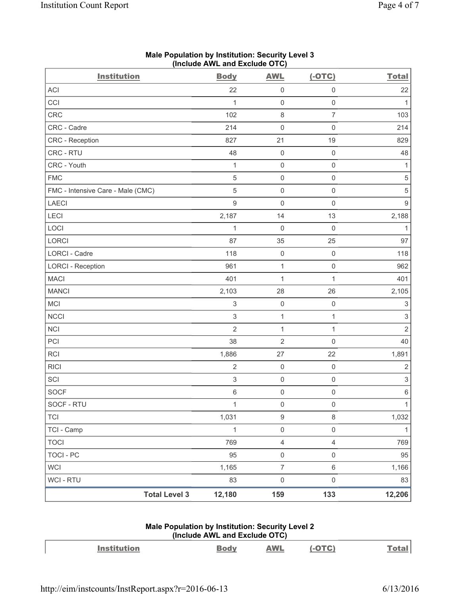| <b>Institution</b>                | <b>Body</b>               | <b>AWL</b>          | $(-OTC)$            | <b>Total</b>              |
|-----------------------------------|---------------------------|---------------------|---------------------|---------------------------|
| <b>ACI</b>                        | 22                        | 0                   | $\mathsf{O}\xspace$ | 22                        |
| CCI                               | 1                         | $\mathsf{O}\xspace$ | $\mathsf 0$         | 1                         |
| CRC                               | 102                       | $\,8\,$             | $\overline{7}$      | 103                       |
| CRC - Cadre                       | 214                       | $\mathsf{O}\xspace$ | $\mathbf 0$         | 214                       |
| CRC - Reception                   | 827                       | 21                  | 19                  | 829                       |
| CRC - RTU                         | 48                        | 0                   | $\mathbf 0$         | 48                        |
| CRC - Youth                       | 1                         | $\mathsf 0$         | $\mathsf{O}\xspace$ | 1                         |
| <b>FMC</b>                        | $\sqrt{5}$                | $\mathsf 0$         | $\mathsf 0$         | $\,$ 5 $\,$               |
| FMC - Intensive Care - Male (CMC) | $\overline{5}$            | 0                   | $\mathsf 0$         | 5                         |
| <b>LAECI</b>                      | $9\,$                     | 0                   | $\mathsf{O}\xspace$ | $\mathsf g$               |
| LECI                              | 2,187                     | 14                  | 13                  | 2,188                     |
| LOCI                              | 1                         | $\mathsf{O}\xspace$ | $\mathbf 0$         | $\mathbf{1}$              |
| LORCI                             | 87                        | 35                  | 25                  | 97                        |
| LORCI - Cadre                     | 118                       | $\mathsf{O}\xspace$ | $\mathsf 0$         | 118                       |
| <b>LORCI - Reception</b>          | 961                       | $\mathbf{1}$        | $\mathsf 0$         | 962                       |
| <b>MACI</b>                       | 401                       | $\mathbf{1}$        | $\mathbf{1}$        | 401                       |
| <b>MANCI</b>                      | 2,103                     | 28                  | 26                  | 2,105                     |
| MCI                               | $\ensuremath{\mathsf{3}}$ | $\mathsf{O}\xspace$ | $\mathsf{O}\xspace$ | $\ensuremath{\mathsf{3}}$ |
| <b>NCCI</b>                       | $\sqrt{3}$                | $\mathbf{1}$        | 1                   | $\ensuremath{\mathsf{3}}$ |
| NCI                               | $\overline{2}$            | $\mathbf{1}$        | $\mathbf{1}$        | $\overline{2}$            |
| PCI                               | 38                        | $\sqrt{2}$          | $\mathbf 0$         | 40                        |
| RCI                               | 1,886                     | 27                  | 22                  | 1,891                     |
| <b>RICI</b>                       | $\overline{2}$            | $\mathsf{O}\xspace$ | $\mathsf 0$         | $\sqrt{2}$                |
| SCI                               | $\sqrt{3}$                | $\mathsf{O}\xspace$ | $\mathsf 0$         | $\ensuremath{\mathsf{3}}$ |
| <b>SOCF</b>                       | $\,6\,$                   | $\mathsf{O}\xspace$ | $\mathsf 0$         | $\,6\,$                   |
| SOCF - RTU                        | $\mathbf{1}$              | $\mathsf{O}\xspace$ | $\mathsf 0$         | $\mathbf{1}$              |
| TCI                               | 1,031                     | 9                   | 8                   | 1,032                     |
| TCI - Camp                        | $\mathbf{1}$              | $\mathsf{O}\xspace$ | $\mathsf 0$         | $\mathbf{1}$              |
| <b>TOCI</b>                       | 769                       | $\overline{4}$      | $\overline{4}$      | 769                       |
| <b>TOCI - PC</b>                  | 95                        | $\mathsf{O}\xspace$ | $\mathsf{O}\xspace$ | 95                        |
| <b>WCI</b>                        | 1,165                     | $\overline{7}$      | $\,6\,$             | 1,166                     |
| WCI - RTU                         | 83                        | $\mathsf{O}\xspace$ | $\mathsf{O}\xspace$ | 83                        |
| <b>Total Level 3</b>              | 12,180                    | 159                 | 133                 | 12,206                    |

# **Male Population by Institution: Security Level 3 (Include AWL and Exclude OTC)**

# **Male Population by Institution: Security Level 2 (Include AWL and Exclude OTC)**

| <b>Institution</b> | <b>Body</b> | <b>AWL</b> | $ \Omega$ |  |
|--------------------|-------------|------------|-----------|--|
|                    |             |            |           |  |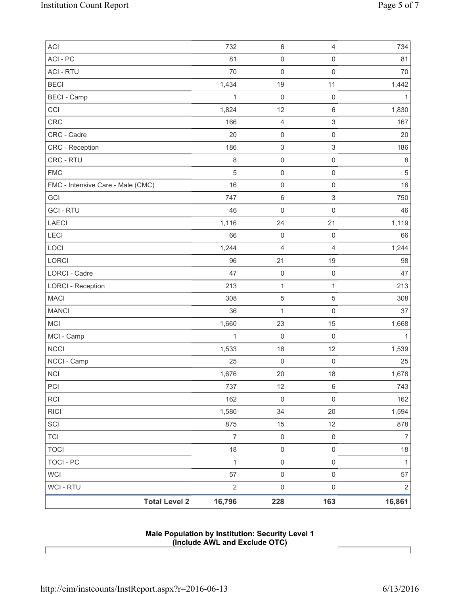| <b>Total Level 2</b>              | 16,796         | 228                       | 163                       | 16,861         |
|-----------------------------------|----------------|---------------------------|---------------------------|----------------|
| WCI - RTU                         | $\sqrt{2}$     | $\boldsymbol{0}$          | $\mathsf 0$               | $\overline{2}$ |
| <b>WCI</b>                        | 57             | $\mathsf{O}\xspace$       | $\mathsf{O}\xspace$       | 57             |
| <b>TOCI - PC</b>                  | $\mathbf{1}$   | $\mathsf{O}\xspace$       | $\mathsf{O}\xspace$       | $\mathbf 1$    |
| <b>TOCI</b>                       | 18             | $\mathsf{O}\xspace$       | $\mathsf 0$               | $18$           |
| <b>TCI</b>                        | $\overline{7}$ | $\mathsf{O}\xspace$       | $\mathsf 0$               | $\overline{7}$ |
| SCI                               | 875            | 15                        | 12                        | 878            |
| <b>RICI</b>                       | 1,580          | 34                        | 20                        | 1,594          |
| RCI                               | 162            | $\mathbf 0$               | $\mathsf 0$               | 162            |
| PCI                               | 737            | 12                        | $\,6\,$                   | 743            |
| $\sf NCI$                         | 1,676          | 20                        | 18                        | 1,678          |
| NCCI - Camp                       | 25             | $\boldsymbol{0}$          | $\mathbf 0$               | 25             |
| <b>NCCI</b>                       | 1,533          | 18                        | 12                        | 1,539          |
| MCI - Camp                        | 1              | $\mathbf 0$               | $\mathsf 0$               | 1              |
| <b>MCI</b>                        | 1,660          | 23                        | 15                        | 1,668          |
| <b>MANCI</b>                      | 36             | 1                         | $\mathsf 0$               | 37             |
| <b>MACI</b>                       | 308            | $\sqrt{5}$                | 5                         | 308            |
| <b>LORCI - Reception</b>          | 213            | 1                         | 1                         | 213            |
| LORCI - Cadre                     | 47             | $\mathsf{O}\xspace$       | $\mathsf{O}\xspace$       | 47             |
| LORCI                             | 96             | 21                        | 19                        | 98             |
| LOCI                              | 1,244          | 4                         | $\overline{4}$            | 1,244          |
| <b>LECI</b>                       | 66             | $\mathsf{O}\xspace$       | $\mathsf 0$               | 66             |
| <b>LAECI</b>                      | 1,116          | 24                        | 21                        | 1,119          |
| <b>GCI-RTU</b>                    | 46             | 0                         | $\mathsf 0$               | 46             |
| GCI                               | 747            | 6                         | $\ensuremath{\mathsf{3}}$ | 750            |
| FMC - Intensive Care - Male (CMC) | 16             | $\mathsf{O}\xspace$       | $\mathsf 0$               | 16             |
| <b>FMC</b>                        | 5              | $\mathsf{O}\xspace$       | $\mathsf 0$               | $\,$ 5 $\,$    |
| CRC - RTU                         | 8              | $\mathsf{O}\xspace$       | $\mathsf 0$               | $\,8\,$        |
| CRC - Reception                   | 186            | $\ensuremath{\mathsf{3}}$ | $\ensuremath{\mathsf{3}}$ | 186            |
| CRC - Cadre                       | 20             | $\pmb{0}$                 | $\mathsf{O}\xspace$       | 20             |
| CCI<br>CRC                        | 1,824<br>166   | 12<br>4                   | $\,6\,$<br>3              | 1,830<br>167   |
| <b>BECI - Camp</b>                | 1              | $\mathbf 0$               | $\mathsf 0$               | 1              |
| <b>BECI</b>                       | 1,434          | 19                        | 11                        | 1,442          |
| <b>ACI - RTU</b>                  | 70             | $\mathbf 0$               | $\mathsf{O}\xspace$       | 70             |
| ACI-PC                            | 81             | $\mathsf{O}\xspace$       | $\mathsf{O}\xspace$       | 81             |
| ACI                               | 732            | $\,6\,$                   | $\overline{4}$            | 734            |
|                                   |                |                           |                           |                |

## **Male Population by Institution: Security Level 1 (Include AWL and Exclude OTC)**

 $\lceil$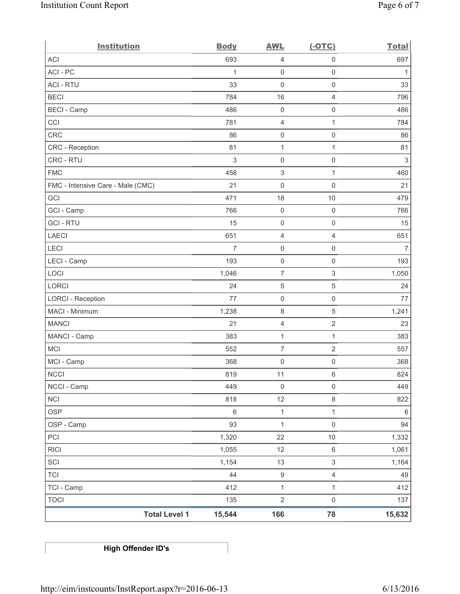| <b>Institution</b>                | <b>Body</b>    | <b>AWL</b>                | $(-OTC)$            | <b>Total</b>   |
|-----------------------------------|----------------|---------------------------|---------------------|----------------|
| <b>ACI</b>                        | 693            | 4                         | $\mathbf 0$         | 697            |
| ACI-PC                            | 1              | $\mathsf{O}\xspace$       | $\mathsf{O}\xspace$ | 1              |
| <b>ACI - RTU</b>                  | 33             | $\mathbf 0$               | $\mathsf{O}\xspace$ | 33             |
| <b>BECI</b>                       | 784            | 16                        | $\overline{4}$      | 796            |
| <b>BECI - Camp</b>                | 486            | $\mathsf{O}\xspace$       | $\mathsf{O}\xspace$ | 486            |
| CCI                               | 781            | 4                         | $\mathbf{1}$        | 784            |
| CRC                               | 86             | $\mathsf{O}\xspace$       | $\mathsf{O}\xspace$ | 86             |
| <b>CRC</b> - Reception            | 81             | $\mathbf{1}$              | $\mathbf{1}$        | 81             |
| CRC - RTU                         | 3              | $\mathsf{O}\xspace$       | $\mathsf 0$         | $\mathfrak{S}$ |
| <b>FMC</b>                        | 458            | $\ensuremath{\mathsf{3}}$ | $\mathbf{1}$        | 460            |
| FMC - Intensive Care - Male (CMC) | 21             | $\mathsf{O}\xspace$       | $\mathsf{O}\xspace$ | 21             |
| GCI                               | 471            | 18                        | 10                  | 479            |
| GCI - Camp                        | 766            | $\mathsf{O}\xspace$       | $\mathsf{O}\xspace$ | 766            |
| <b>GCI-RTU</b>                    | 15             | $\mathsf{O}\xspace$       | $\mathsf{O}\xspace$ | 15             |
| <b>LAECI</b>                      | 651            | $\overline{4}$            | $\overline{4}$      | 651            |
| LECI                              | $\overline{7}$ | $\mathsf{O}\xspace$       | $\mathsf{O}\xspace$ | $\overline{7}$ |
| LECI - Camp                       | 193            | $\boldsymbol{0}$          | $\mathsf{O}\xspace$ | 193            |
| LOCI                              | 1,046          | $\overline{7}$            | 3                   | 1,050          |
| <b>LORCI</b>                      | 24             | $\sqrt{5}$                | $\mathbf 5$         | 24             |
| <b>LORCI - Reception</b>          | 77             | $\mathsf{O}\xspace$       | $\mathsf 0$         | 77             |
| MACI - Minimum                    | 1,238          | $\,8\,$                   | $\mathbf 5$         | 1,241          |
| <b>MANCI</b>                      | 21             | $\overline{4}$            | $\overline{2}$      | 23             |
| MANCI - Camp                      | 383            | $\mathbf{1}$              | $\mathbf{1}$        | 383            |
| <b>MCI</b>                        | 552            | $\overline{7}$            | $\overline{2}$      | 557            |
| MCI - Camp                        | 368            | $\mathsf{O}\xspace$       | $\mathsf{O}\xspace$ | 368            |
| $\sf NCCI$                        | 819            | 11                        | 6                   | 824            |
| NCCI - Camp                       | 449            | $\mathsf{0}$              | $\mathsf{O}\xspace$ | 449            |
| <b>NCI</b>                        | 818            | 12                        | $\,8\,$             | 822            |
| <b>OSP</b>                        | $\,6\,$        | $\mathbf{1}$              | $\mathbf{1}$        | 6              |
| OSP - Camp                        | 93             | $\mathbf{1}$              | $\mathsf 0$         | 94             |
| PCI                               | 1,320          | 22                        | $10$                | 1,332          |
| <b>RICI</b>                       | 1,055          | 12                        | $\,6\,$             | 1,061          |
| SCI                               | 1,154          | 13                        | $\mathfrak{S}$      | 1,164          |
| <b>TCI</b>                        | 44             | $\boldsymbol{9}$          | $\overline{4}$      | 49             |
| TCI - Camp                        | 412            | $\mathbf{1}$              | $\mathbf{1}$        | 412            |
| <b>TOCI</b>                       | 135            | $\sqrt{2}$                | $\mathsf{O}\xspace$ | 137            |
| <b>Total Level 1</b>              | 15,544         | 166                       | 78                  | 15,632         |

**High Offender ID's**